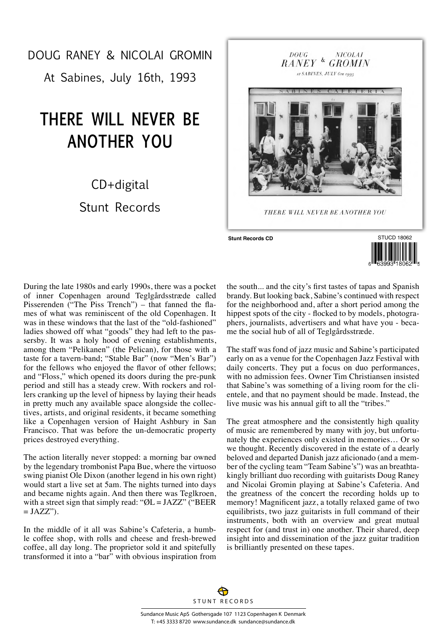## DOUG RANEY & NICOLAI GROMIN

At Sabines, July 16th, 1993

## **THERE WILL NEVER BE ANOTHER YOU**

## CD+digital Stunt Records





During the late 1980s and early 1990s, there was a pocket of inner Copenhagen around Teglgårdsstræde called Pisserenden ("The Piss Trench") – that fanned the flames of what was reminiscent of the old Copenhagen. It was in these windows that the last of the "old-fashioned" ladies showed off what "goods" they had left to the passersby. It was a holy hood of evening establishments, among them "Pelikanen" (the Pelican), for those with a taste for a tavern-band; "Stable Bar" (now "Men's Bar") for the fellows who enjoyed the flavor of other fellows; and "Floss," which opened its doors during the pre-punk period and still has a steady crew. With rockers and rollers cranking up the level of hipness by laying their heads in pretty much any available space alongside the collectives, artists, and original residents, it became something like a Copenhagen version of Haight Ashbury in San Francisco. That was before the un-democratic property prices destroyed everything.

The action literally never stopped: a morning bar owned by the legendary trombonist Papa Bue, where the virtuoso swing pianist Ole Dixon (another legend in his own right) would start a live set at 5am. The nights turned into days and became nights again. And then there was Teglkroen, with a street sign that simply read: " $\mathcal{O}L = JAZZ$ " ("BEER  $=$  JAZZ").

In the middle of it all was Sabine's Cafeteria, a humble coffee shop, with rolls and cheese and fresh-brewed coffee, all day long. The proprietor sold it and spitefully transformed it into a "bar" with obvious inspiration from the south... and the city's first tastes of tapas and Spanish brandy. But looking back, Sabine's continued with respect for the neighborhood and, after a short period among the hippest spots of the city - flocked to by models, photographers, journalists, advertisers and what have you - became the social hub of all of Teglgårdsstræde.

The staff was fond of jazz music and Sabine's participated early on as a venue for the Copenhagen Jazz Festival with daily concerts. They put a focus on duo performances, with no admission fees. Owner Tim Christiansen insisted that Sabine's was something of a living room for the clientele, and that no payment should be made. Instead, the live music was his annual gift to all the "tribes."

The great atmosphere and the consistently high quality of music are remembered by many with joy, but unfortunately the experiences only existed in memories… Or so we thought. Recently discovered in the estate of a dearly beloved and departed Danish jazz aficionado (and a member of the cycling team "Team Sabine's") was an breathtakingly brilliant duo recording with guitarists Doug Raney and Nicolai Gromin playing at Sabine's Cafeteria. And the greatness of the concert the recording holds up to memory! Magnificent jazz, a totally relaxed game of two equilibrists, two jazz guitarists in full command of their instruments, both with an overview and great mutual respect for (and trust in) one another. Their shared, deep insight into and dissemination of the jazz guitar tradition is brilliantly presented on these tapes.